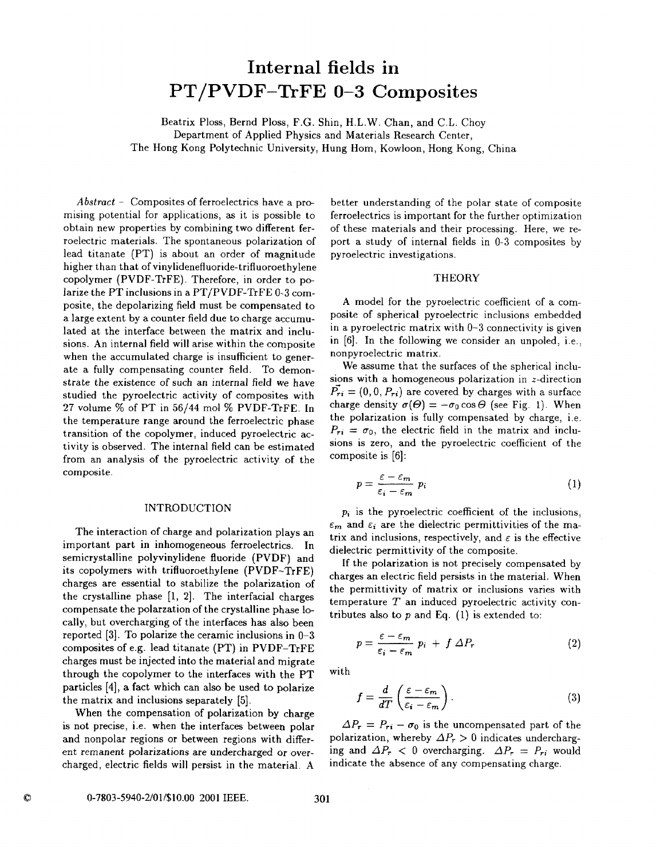# **Internal fields in**  PT/PVDF-TrFE **0-3 Composites**

Beatrix Ploss, Bernd Ploss, F.G. Shin, H.L.W. Chan, and C.L. Choy Department of Applied Physics and Materials Research Center, The Hong Kong Polytechnic University, Hung Hom, Kowloon, Hong Kong, China

*Abstract* - Composites of ferroelectrics have a promising potential for applications, as it is possible to obtain new properties by combining two different ferroelectric materials. The spontaneous polarization of lead titanate (PT) is about an order of magnitude higher than that of **vinylidenefluoride-trifluoroethylene**  copolymer (PVDF-TrFE). Therefore, in order to polarize the PT inclusions in a PT/PVDF-TrFE **0-3** composite, the depolarizing field must be compensated to a large extent by a counter field due to charge accumulated at the interface between the matrix and inclusions. An internal field will arise within the composite when the accumulated charge is insufficient to generate a fully compensating counter field. To demonstrate the existence of such an internal field we have studied the pyroelectric activity of composites with **27** volume % of PT in **56/44** mol % PVDF-TrFE. In the temperature range around the ferroelectric phase transition of the copolymer, induced pyroelectric activity is observed. The internal field can be estimated from an analysis of the pyroelectric activity of the composite.

## INTRODUCTION

The interaction of charge and polarization plays an important part in inhomogeneous ferroelectrics. In semicrystalline polyvinylidene fluoride (PVDF) and its copolymers with trifluoroethylene (PVDF-TrFE) charges are essential to stabilize the polarization of the crystalline phase **[l,** 21. The interfacial charges compensate the polarzation of the crystalline phase locally, but overcharging of the interfaces has also been reported **[3].** To polarize the ceramic inclusions in 0-3 composites of e.g. lead titanate (PT) in PVDF-TrFE charges must be injected into the material and migrate through the copolymer to the interfaces with the PT particles **[4],** a fact which can also be used to polarize the matrix and inclusions separately **[5].** 

When the compensation of polarization by charge is not precise, i.e. when the interfaces between polar and nonpolar regions or between regions with differ*ent* remanent polarizations are undercharged or overcharged, electric fields will persist in the material. **A** 

better understanding of the polar state of composite ferroelectrics is important for the further optimization of these materials and their processing. Here, we report a study of internal fields in 0-3 composites by pyroelectric investigations.

#### **THEORY**

**A** model for the pyroelectric coefficient of a composite of spherical pyroelectric inclusions embedded in a pyroelectric matrix with 0-3 connectivity is given in [6]. In the following we consider an unpoled, i.e., nonpyroelectric matrix.

We assume that the surfaces of the spherical inclusions with a homogeneous polarization in z-direction  $\tilde{P}_{ri} = (0, 0, P_{ri})$  are covered by charges with a surface charge density  $\sigma(\Theta) = -\sigma_0 \cos \Theta$  (see Fig. 1). When the polarization is fully compensated by charge, i.e.  $P_{ri} = \sigma_0$ , the electric field in the matrix and inclusions is zero, and the pyroelectric coefficient of the composite is [6]:

$$
p = \frac{\varepsilon - \varepsilon_m}{\varepsilon_i - \varepsilon_m} p_i \tag{1}
$$

**p,** is the pyroelectric coefficient of the inclusions,  $\varepsilon_m$  and  $\varepsilon_i$  are the dielectric permittivities of the matrix and inclusions, respectively, and  $\varepsilon$  is the effective dielectric permittivity of the composite.

If the polarization is not precisely compensated by charges an electric field persists in the material. When the permittivity of matrix or inclusions varies with temperature  $T$  an induced pyroelectric activity contributes also to *p* and Eq. (1) **is** extended to:

$$
p = \frac{\varepsilon - \varepsilon_m}{\varepsilon_i - \varepsilon_m} p_i + f \Delta P_r \tag{2}
$$

with

$$
f = \frac{d}{dT} \left( \frac{\varepsilon - \varepsilon_m}{\varepsilon_i - \varepsilon_m} \right). \tag{3}
$$

 $\Delta P_r = P_{ri} - \sigma_0$  is the uncompensated part of the polarization, whereby  $\Delta P_r > 0$  indicates undercharging and  $\Delta P_r < 0$  overcharging.  $\Delta P_r = P_{ri}$  would indicate the absence of any compensating charge.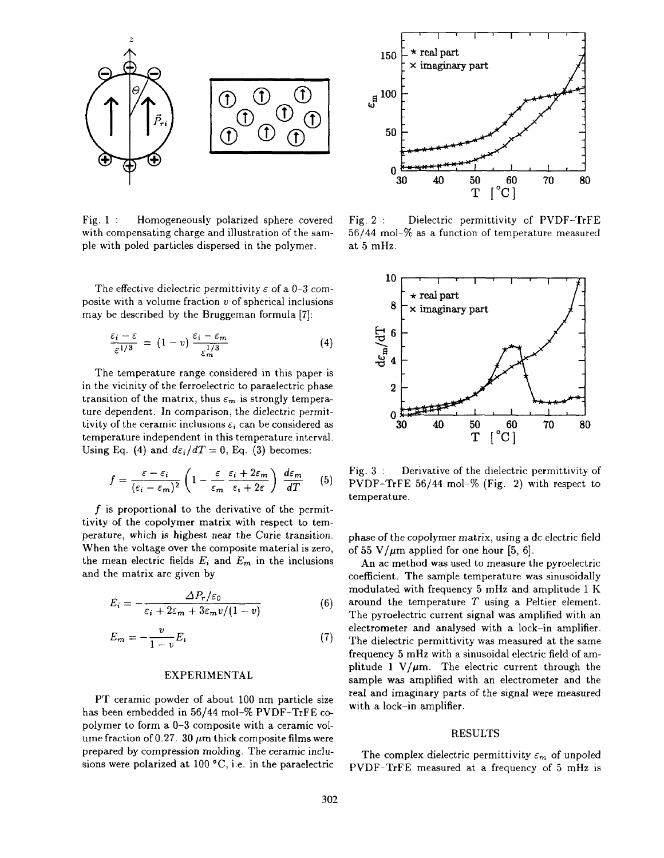

Fig. 1 : Homogeneously polarized sphere covered Fig. 2 : Dielectric permittivity of PVDF-TrFE with compensating charge and illustration of the sam- 56/44 mol-% as a function of temperature measured ple with poled particles dispersed in the polymer. at 5 mHz.

The effective dielectric permittivity  $\varepsilon$  of a 0-3 composite with a volume fraction  $v$  of spherical inclusions may be described by the Bruggeman formula **[7]:** 

$$
\frac{\varepsilon_i - \varepsilon}{\varepsilon^{1/3}} = (1 - v) \frac{\varepsilon_i - \varepsilon_m}{\varepsilon_m^{1/3}}
$$
(4)

The temperature range considered in this paper is in the vicinity of the ferroelectric to paraelectric phase transition of the matrix, thus  $\varepsilon_m$  is strongly temperature dependent. In comparison, the dielectric permittivity of the ceramic inclusions  $\varepsilon_i$  can be considered as  $\qquad \qquad$  30  $\qquad$  40  $\qquad$  50  $\qquad$  60  $\qquad$  70  $\qquad$  80  $\qquad$  temperature independent in this temperature interval. Using Eq. (4) and  $d\varepsilon_i/dT = 0$ , Eq. (3) becomes: temperature independent in this temperature interval.

$$
f = \frac{\varepsilon - \varepsilon_i}{(\varepsilon_i - \varepsilon_m)^2} \left( 1 - \frac{\varepsilon}{\varepsilon_m} \frac{\varepsilon_i + 2\varepsilon_m}{\varepsilon_i + 2\varepsilon} \right) \frac{d\varepsilon_m}{dT} \qquad (5)
$$

f is proportional to the derivative of the permittivity of the copolymer matrix with respect to temperature, which **is** highest near the Curie transition. When the voltage over the composite material is zero, the mean electric fields  $E_i$  and  $E_m$  in the inclusions and the matrix are given by

$$
E_i = -\frac{\Delta P_r/\varepsilon_0}{\varepsilon_i + 2\varepsilon_m + 3\varepsilon_m v/(1-v)}
$$
(6)

$$
E_m = -\frac{v}{1-v}E_i \tag{7}
$$

#### EXPERIMENTAL

PT ceramic powder of about 100 nm particle size has been embedded in **56/44** mol-% PVDF-TrFE copolymer to form a 0-3 composite with a ceramic volume fraction of 0.27. 30  $\mu$ m thick composite films were prepared by compression molding. The ceramic inclusions were polarized at  $100 °C$ , i.e. in the paraelectric



56/44 mol-% as a function of temperature measured



Fig. 3 : Derivative of the dielectric permittivity of PVDF-TrFE **56/44** mol-% (Fig. 2) with respect to temperature.

phase *of* the copolymer matrix, using a dc electric field of 55 V/ $\mu$ m applied for one hour [5, 6].

An ac method **was** used to measure the pyroelectric coefficient. The sample temperature was sinusoidally modulated with frequency 5 mHz and amplitude 1 K around the temperature *T* using a Peltier element. The pyroelectric current signal was amplified with an electrometer and analysed with a lock-in amplifier. The dielectric permittivity **was** measured at the same frequency 5 mHz with a sinusoidal electric field of amplitude  $1 \text{ V}/\mu \text{m}$ . The electric current through the sample **was** amplified with an electrometer and the real and imaginary parts of the signal were measured with a lock-in amplifier.

#### RESULTS

The complex dielectric permittivity  $\varepsilon_m$  of unpoled PVDF-TrFE measured at a frequency of *5* mHz is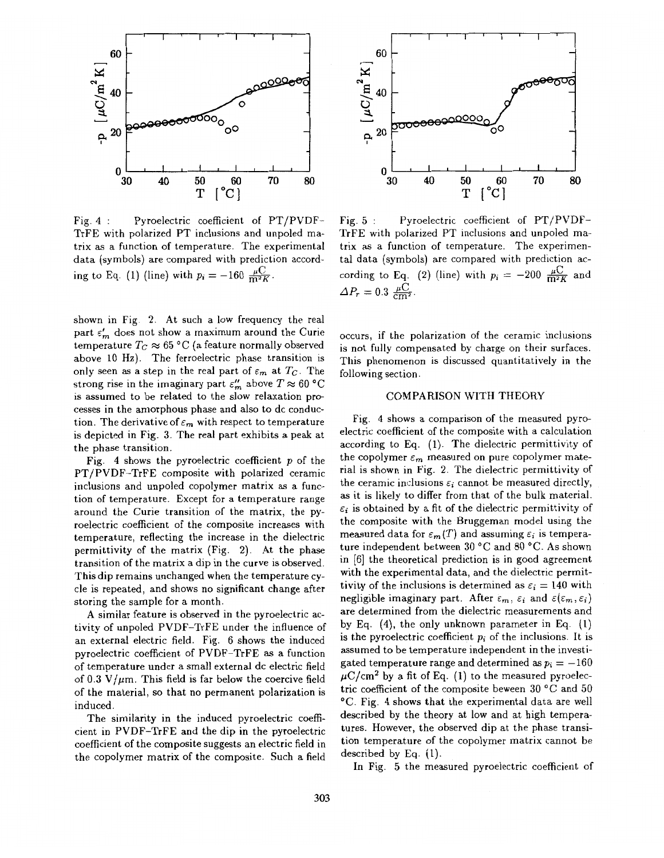

Fig. **4** : Pyroelectric coefficient of PT/PVDF-TrFE with polarized PT inclusions and unpoled matrix as a function of temperature. The experimental data (symbols) are compared with prediction according to Eq. (1) (line) with  $p_i = -160 \frac{\mu C}{m^2 K}$ .

shown in Fig. 2. At such a low frequency the real part  $\varepsilon'_m$  does not show a maximum around the Curie temperature  $T_C \approx 65 \degree C$  (a feature normally observed above 10 Hz). The ferroelectric phase transition is only seen as a step in the real part of  $\varepsilon_m$  at  $T_c$ . The strong rise in the imaginary part  $\varepsilon_m''$  above  $T \approx 60$  °C is assumed to be related to the slow relaxation processes in the amorphous phase and also to dc conduction. The derivative of  $\varepsilon_m$  with respect to temperature is depicted in Fig. **3.** The real part exhibits a peak at the phase transition.

Fig. **4** shows the pyroelectric coefficient *p* of the PT/PVDF-TrFE composite with polarized ceramic inclusions and unpoled copolymer matrix as a function of temperature. Except for a temperature range around the Curie transition of the matrix, the pyroelectric coefficient of the composite increases with temperature, reflecting the increase in the dielectric permittivity of the matrix (Fig. 2). At the phase transition of the matrix a dip in the curve is observed. This dip remains unchanged when the temperature cycle is repeated, and shows no significant change after storing the sample for a month.

A similar feature is observed in the pyroelectric activity of unpoled PVDF-TrFE under the influence of an external electric field. Fig. 6 shows the induced pyroelectric coefficient of PVDF-TrFE as a function of temperature under a small external dc electric field of  $0.3 \text{ V}/\mu\text{m}$ . This field is far below the coercive field of the material, so that no permanent polarization is induced.

The similarity in the induced pyroelectric coefficient in PVDF-TrFE and the dip in the pyroelectric coefficient of the composite suggests an electric field in the copolymer matrix of the composite. Such a field



Fig. 5 : Pyroelectric coefficient of PT/PVDF-TrFE with polarized PT inclusions and unpoled matrix as a function of temperature. The experimental data (symbols) are compared with prediction ac- $\Delta P_r = 0.3 \frac{\mu C}{cm}$ cording to Eq. (2) (line) with  $p_i = -200 \frac{\mu C}{m^2 K}$  and

occurs, if the polarization of the ceramic inclusions is not fully compensated by charge on their surfaces. This phenomenon is discussed quantitatively in the following section.

## COMPARISON WITH THEORY

Fig. **4** shows a comparison of the measured pyroelectric coefficient of the composite with a calculation according to Eq. (1). The dielectric permittivity of the copolymer  $\varepsilon_m$  measured on pure copolymer material is shown in Fig. 2. The dielectric permittivity of the ceramic inclusions  $\varepsilon_i$  cannot be measured directly, **as** it is likely to differ from that of the bulk material.  $\varepsilon_i$  is obtained by a fit of the dielectric permittivity of the composite with the Bruggeman model using the measured data for  $\varepsilon_m(T)$  and assuming  $\varepsilon_i$  is temperature independent between 30 °C and 80 °C. As shown in [6] the theoretical prediction is in good agreement with the experimental data, and the dielectric permittivity of the inclusions is determined as  $\varepsilon_i = 140$  with negligible imaginary part. After  $\varepsilon_m$ ,  $\varepsilon_i$  and  $\varepsilon(\varepsilon_m, \varepsilon_i)$ are determined from the dielectric measurements and by Eq. **(4),** the only unknown parameter in Eq. (1) is the pyroelectric coefficient  $p_i$  of the inclusions. It is assumed to be temperature independent in the investigated temperature range and determined as  $p_i = -160$  $\mu$ C/cm<sup>2</sup> by a fit of Eq. (1) to the measured pyroelectric coefficient of the composite beween 30 "C and 50 "C. Fig. **4** shows that the experimental data are well described by the theory at low and at high temperatures. However, the observed dip at the phase transition temperature of the copolymer matrix cannot be described by **Eq.** (1).

In Fig. 5 the measured pyroelectric coefficient of